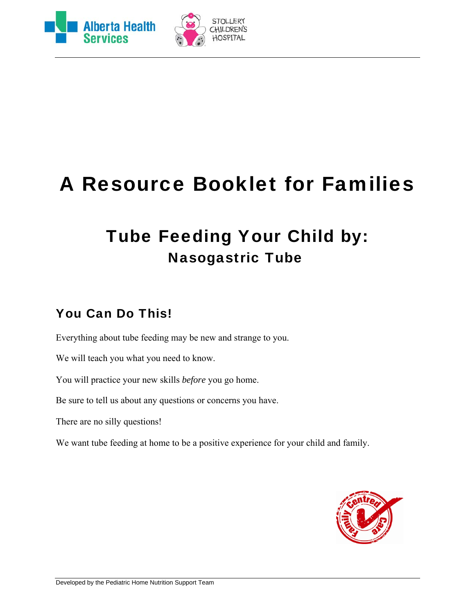



# A Resource Booklet for Families

# Tube Feeding Your Child by: Nasogastric Tube

### You Can Do This!

Everything about tube feeding may be new and strange to you.

We will teach you what you need to know.

You will practice your new skills *before* you go home.

Be sure to tell us about any questions or concerns you have.

There are no silly questions!

We want tube feeding at home to be a positive experience for your child and family.

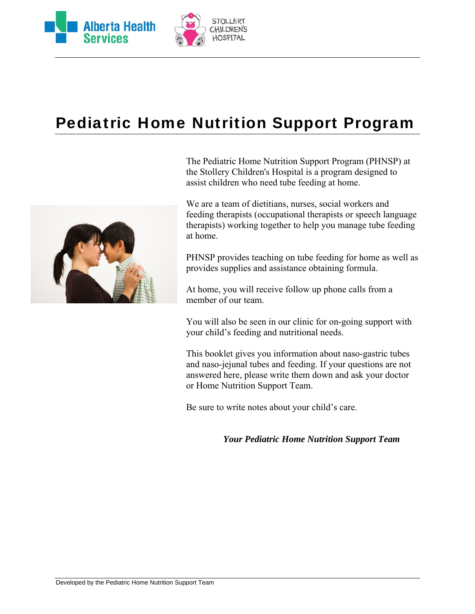



# Pediatric Home Nutrition Support Program



The Pediatric Home Nutrition Support Program (PHNSP) at the Stollery Children's Hospital is a program designed to assist children who need tube feeding at home.

We are a team of dietitians, nurses, social workers and feeding therapists (occupational therapists or speech language therapists) working together to help you manage tube feeding at home.

PHNSP provides teaching on tube feeding for home as well as provides supplies and assistance obtaining formula.

At home, you will receive follow up phone calls from a member of our team.

You will also be seen in our clinic for on-going support with your child's feeding and nutritional needs.

This booklet gives you information about naso-gastric tubes and naso-jejunal tubes and feeding. If your questions are not answered here, please write them down and ask your doctor or Home Nutrition Support Team.

Be sure to write notes about your child's care.

*Your Pediatric Home Nutrition Support Team*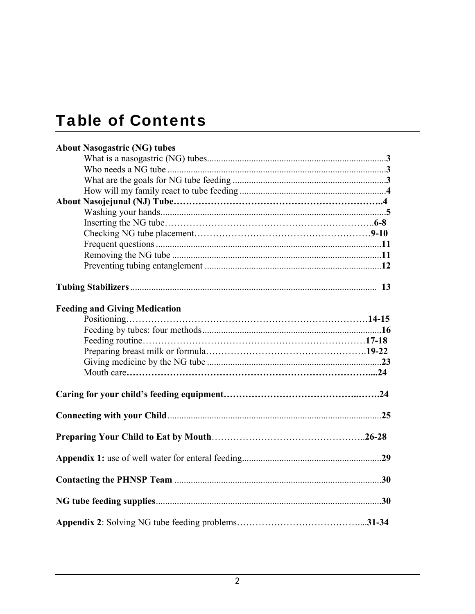# Table of Contents

| <b>About Nasogastric (NG) tubes</b>  |  |
|--------------------------------------|--|
|                                      |  |
|                                      |  |
|                                      |  |
|                                      |  |
|                                      |  |
|                                      |  |
|                                      |  |
|                                      |  |
|                                      |  |
|                                      |  |
|                                      |  |
|                                      |  |
| <b>Feeding and Giving Medication</b> |  |
|                                      |  |
|                                      |  |
|                                      |  |
|                                      |  |
|                                      |  |
|                                      |  |
|                                      |  |
|                                      |  |
|                                      |  |
|                                      |  |
|                                      |  |
|                                      |  |
|                                      |  |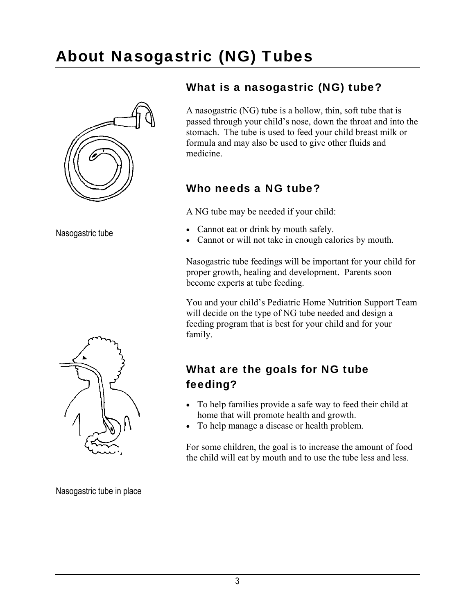#### 3

# About Nasogastric (NG) Tubes



#### Nasogastric tube



### What is a nasogastric (NG) tube?

A nasogastric (NG) tube is a hollow, thin, soft tube that is passed through your child's nose, down the throat and into the stomach. The tube is used to feed your child breast milk or formula and may also be used to give other fluids and medicine.

### Who needs a NG tube?

A NG tube may be needed if your child:

- Cannot eat or drink by mouth safely.
- Cannot or will not take in enough calories by mouth.

Nasogastric tube feedings will be important for your child for proper growth, healing and development. Parents soon become experts at tube feeding.

You and your child's Pediatric Home Nutrition Support Team will decide on the type of NG tube needed and design a feeding program that is best for your child and for your family.

### What are the goals for NG tube feeding?

- To help families provide a safe way to feed their child at home that will promote health and growth.
- To help manage a disease or health problem.

For some children, the goal is to increase the amount of food the child will eat by mouth and to use the tube less and less.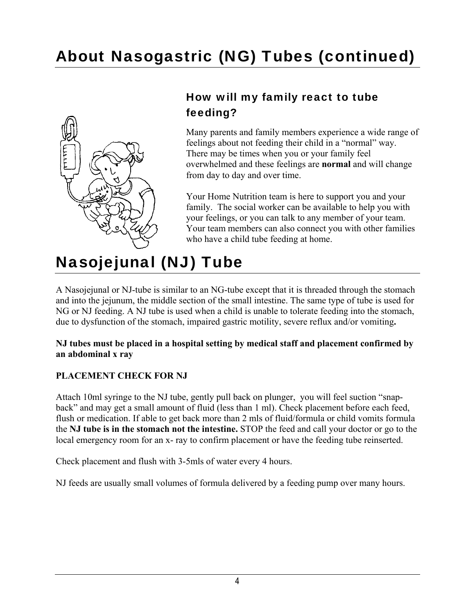# About Nasogastric (NG) Tubes (continued)



### How will my family react to tube feeding?

Many parents and family members experience a wide range of feelings about not feeding their child in a "normal" way. There may be times when you or your family feel overwhelmed and these feelings are **normal** and will change from day to day and over time.

Your Home Nutrition team is here to support you and your family. The social worker can be available to help you with your feelings, or you can talk to any member of your team. Your team members can also connect you with other families who have a child tube feeding at home.

# Nasojejunal (NJ) Tube

A Nasojejunal or NJ-tube is similar to an NG-tube except that it is threaded through the stomach and into the jejunum, the middle section of the small intestine. The same type of tube is used for NG or NJ feeding. A NJ tube is used when a child is unable to tolerate feeding into the stomach, due to dysfunction of the stomach, impaired gastric motility, severe reflux and/or vomiting**.** 

#### **NJ tubes must be placed in a hospital setting by medical staff and placement confirmed by an abdominal x ray**

#### **PLACEMENT CHECK FOR NJ**

Attach 10ml syringe to the NJ tube, gently pull back on plunger, you will feel suction "snapback" and may get a small amount of fluid (less than 1 ml). Check placement before each feed, flush or medication. If able to get back more than 2 mls of fluid/formula or child vomits formula the **NJ tube is in the stomach not the intestine.** STOP the feed and call your doctor or go to the local emergency room for an x- ray to confirm placement or have the feeding tube reinserted.

Check placement and flush with 3-5mls of water every 4 hours.

NJ feeds are usually small volumes of formula delivered by a feeding pump over many hours.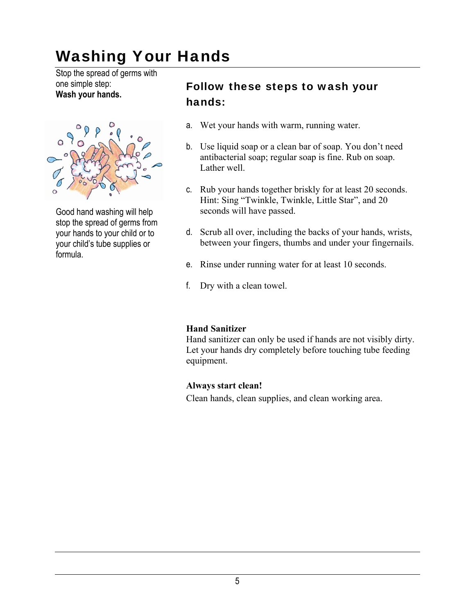# Washing Your Hands

Stop the spread of germs with one simple step: **Wash your hands.** 



Good hand washing will help stop the spread of germs from your hands to your child or to your child's tube supplies or formula.

### Follow these steps to wash your hands:

- a. Wet your hands with warm, running water.
- b. Use liquid soap or a clean bar of soap. You don't need antibacterial soap; regular soap is fine. Rub on soap. Lather well.
- c. Rub your hands together briskly for at least 20 seconds. Hint: Sing "Twinkle, Twinkle, Little Star", and 20 seconds will have passed.
- d. Scrub all over, including the backs of your hands, wrists, between your fingers, thumbs and under your fingernails.
- e. Rinse under running water for at least 10 seconds.
- f. Dry with a clean towel.

#### **Hand Sanitizer**

Hand sanitizer can only be used if hands are not visibly dirty. Let your hands dry completely before touching tube feeding equipment.

#### **Always start clean!**

Clean hands, clean supplies, and clean working area.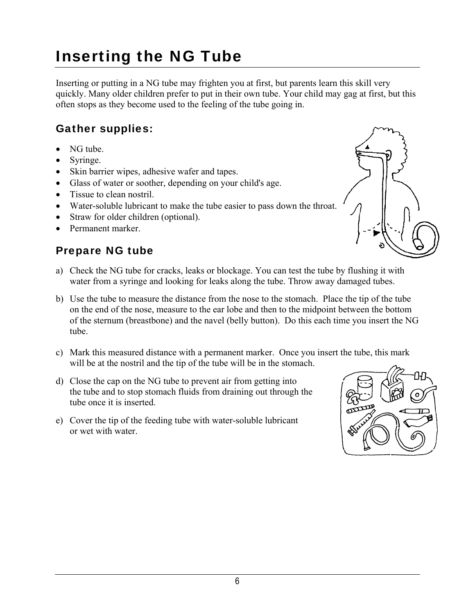# Inserting the NG Tube

Inserting or putting in a NG tube may frighten you at first, but parents learn this skill very quickly. Many older children prefer to put in their own tube. Your child may gag at first, but this often stops as they become used to the feeling of the tube going in.

### Gather supplies:

- NG tube.
- Syringe.
- Skin barrier wipes, adhesive wafer and tapes.
- Glass of water or soother, depending on your child's age.
- Tissue to clean nostril.
- Water-soluble lubricant to make the tube easier to pass down the throat.
- Straw for older children (optional).
- Permanent marker

### Prepare NG tube

- a) Check the NG tube for cracks, leaks or blockage. You can test the tube by flushing it with water from a syringe and looking for leaks along the tube. Throw away damaged tubes.
- b) Use the tube to measure the distance from the nose to the stomach. Place the tip of the tube on the end of the nose, measure to the ear lobe and then to the midpoint between the bottom of the sternum (breastbone) and the navel (belly button). Do this each time you insert the NG tube.
- c) Mark this measured distance with a permanent marker. Once you insert the tube, this mark will be at the nostril and the tip of the tube will be in the stomach.
- d) Close the cap on the NG tube to prevent air from getting into the tube and to stop stomach fluids from draining out through the tube once it is inserted.
- e) Cover the tip of the feeding tube with water-soluble lubricant or wet with water.



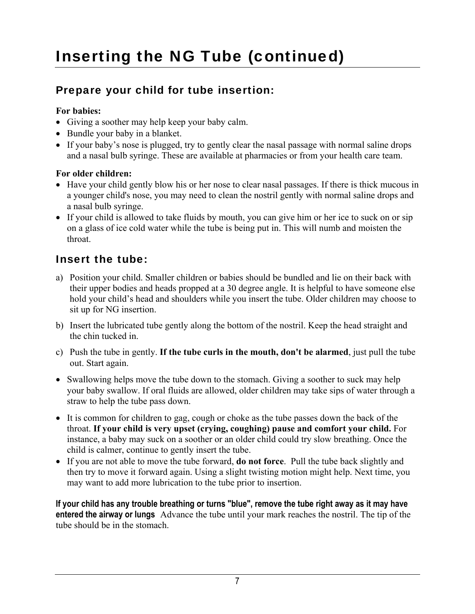### Prepare your child for tube insertion:

#### **For babies:**

- Giving a soother may help keep your baby calm.
- Bundle your baby in a blanket.
- If your baby's nose is plugged, try to gently clear the nasal passage with normal saline drops and a nasal bulb syringe. These are available at pharmacies or from your health care team.

#### **For older children:**

- Have your child gently blow his or her nose to clear nasal passages. If there is thick mucous in a younger child's nose, you may need to clean the nostril gently with normal saline drops and a nasal bulb syringe.
- If your child is allowed to take fluids by mouth, you can give him or her ice to suck on or sip on a glass of ice cold water while the tube is being put in. This will numb and moisten the throat.

### Insert the tube:

- a) Position your child. Smaller children or babies should be bundled and lie on their back with their upper bodies and heads propped at a 30 degree angle. It is helpful to have someone else hold your child's head and shoulders while you insert the tube. Older children may choose to sit up for NG insertion.
- b) Insert the lubricated tube gently along the bottom of the nostril. Keep the head straight and the chin tucked in.
- c) Push the tube in gently. **If the tube curls in the mouth, don't be alarmed**, just pull the tube out. Start again.
- Swallowing helps move the tube down to the stomach. Giving a soother to suck may help your baby swallow. If oral fluids are allowed, older children may take sips of water through a straw to help the tube pass down.
- It is common for children to gag, cough or choke as the tube passes down the back of the throat. **If your child is very upset (crying, coughing) pause and comfort your child.** For instance, a baby may suck on a soother or an older child could try slow breathing. Once the child is calmer, continue to gently insert the tube.
- If you are not able to move the tube forward, **do not force**. Pull the tube back slightly and then try to move it forward again. Using a slight twisting motion might help. Next time, you may want to add more lubrication to the tube prior to insertion.

**If your child has any trouble breathing or turns "blue", remove the tube right away as it may have entered the airway or lungs** Advance the tube until your mark reaches the nostril. The tip of the tube should be in the stomach.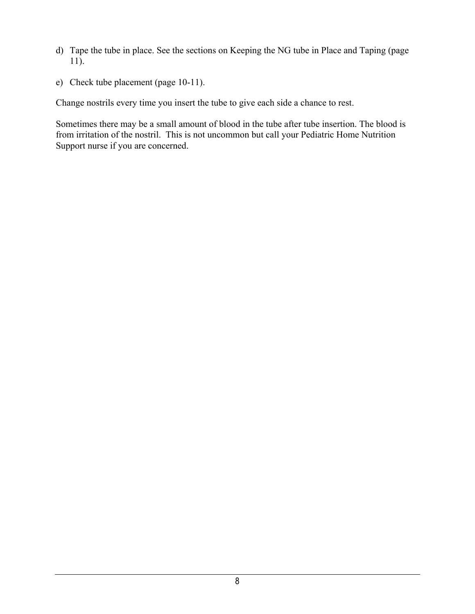- d) Tape the tube in place. See the sections on Keeping the NG tube in Place and Taping (page 11).
- e) Check tube placement (page 10-11).

Change nostrils every time you insert the tube to give each side a chance to rest.

Sometimes there may be a small amount of blood in the tube after tube insertion. The blood is from irritation of the nostril. This is not uncommon but call your Pediatric Home Nutrition Support nurse if you are concerned.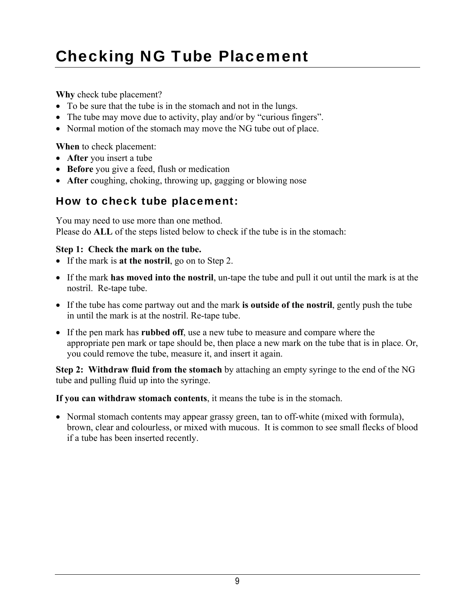# Checking NG Tube Placement

**Why** check tube placement?

- To be sure that the tube is in the stomach and not in the lungs.
- The tube may move due to activity, play and/or by "curious fingers".
- Normal motion of the stomach may move the NG tube out of place.

**When** to check placement:

- **After** you insert a tube
- **Before** you give a feed, flush or medication
- **After** coughing, choking, throwing up, gagging or blowing nose

### How to check tube placement:

You may need to use more than one method. Please do **ALL** of the steps listed below to check if the tube is in the stomach:

#### **Step 1: Check the mark on the tube.**

- If the mark is **at the nostril**, go on to Step 2.
- If the mark **has moved into the nostril**, un-tape the tube and pull it out until the mark is at the nostril. Re-tape tube.
- If the tube has come partway out and the mark **is outside of the nostril**, gently push the tube in until the mark is at the nostril. Re-tape tube.
- If the pen mark has **rubbed off**, use a new tube to measure and compare where the appropriate pen mark or tape should be, then place a new mark on the tube that is in place. Or, you could remove the tube, measure it, and insert it again.

**Step 2: Withdraw fluid from the stomach** by attaching an empty syringe to the end of the NG tube and pulling fluid up into the syringe.

**If you can withdraw stomach contents**, it means the tube is in the stomach.

• Normal stomach contents may appear grassy green, tan to off-white (mixed with formula), brown, clear and colourless, or mixed with mucous. It is common to see small flecks of blood if a tube has been inserted recently.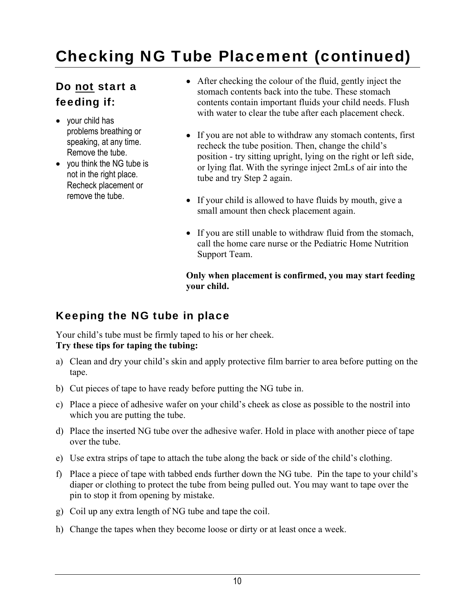# Checking NG Tube Placement (continued)

### Do not start a feeding if:

- your child has problems breathing or speaking, at any time. Remove the tube.
- you think the NG tube is not in the right place. Recheck placement or remove the tube.
- After checking the colour of the fluid, gently inject the stomach contents back into the tube. These stomach contents contain important fluids your child needs. Flush with water to clear the tube after each placement check.
- If you are not able to withdraw any stomach contents, first recheck the tube position. Then, change the child's position - try sitting upright, lying on the right or left side, or lying flat. With the syringe inject 2mLs of air into the tube and try Step 2 again.
- If your child is allowed to have fluids by mouth, give a small amount then check placement again.
- If you are still unable to withdraw fluid from the stomach, call the home care nurse or the Pediatric Home Nutrition Support Team.

**Only when placement is confirmed, you may start feeding your child.**

### Keeping the NG tube in place

Your child's tube must be firmly taped to his or her cheek. **Try these tips for taping the tubing:**

- a) Clean and dry your child's skin and apply protective film barrier to area before putting on the tape.
- b) Cut pieces of tape to have ready before putting the NG tube in.
- c) Place a piece of adhesive wafer on your child's cheek as close as possible to the nostril into which you are putting the tube.
- d) Place the inserted NG tube over the adhesive wafer. Hold in place with another piece of tape over the tube.
- e) Use extra strips of tape to attach the tube along the back or side of the child's clothing.
- f) Place a piece of tape with tabbed ends further down the NG tube. Pin the tape to your child's diaper or clothing to protect the tube from being pulled out. You may want to tape over the pin to stop it from opening by mistake.
- g) Coil up any extra length of NG tube and tape the coil.
- h) Change the tapes when they become loose or dirty or at least once a week.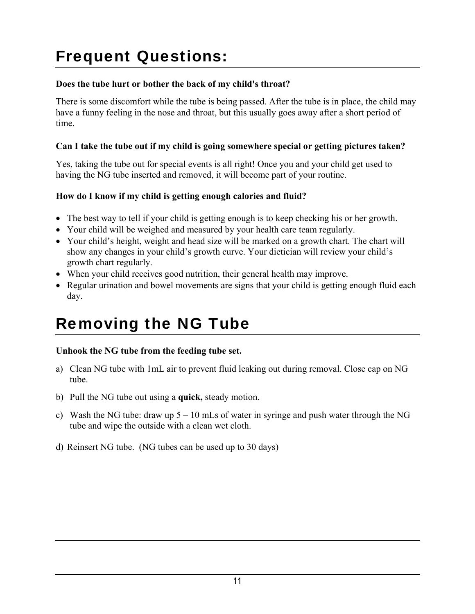# Frequent Questions:

#### **Does the tube hurt or bother the back of my child's throat?**

There is some discomfort while the tube is being passed. After the tube is in place, the child may have a funny feeling in the nose and throat, but this usually goes away after a short period of time.

#### **Can I take the tube out if my child is going somewhere special or getting pictures taken?**

Yes, taking the tube out for special events is all right! Once you and your child get used to having the NG tube inserted and removed, it will become part of your routine.

#### **How do I know if my child is getting enough calories and fluid?**

- The best way to tell if your child is getting enough is to keep checking his or her growth.
- Your child will be weighed and measured by your health care team regularly.
- Your child's height, weight and head size will be marked on a growth chart. The chart will show any changes in your child's growth curve. Your dietician will review your child's growth chart regularly.
- When your child receives good nutrition, their general health may improve.
- Regular urination and bowel movements are signs that your child is getting enough fluid each day.

# Removing the NG Tube

#### **Unhook the NG tube from the feeding tube set.**

- a) Clean NG tube with 1mL air to prevent fluid leaking out during removal. Close cap on NG tube.
- b) Pull the NG tube out using a **quick,** steady motion.
- c) Wash the NG tube: draw up  $5 10$  mLs of water in syringe and push water through the NG tube and wipe the outside with a clean wet cloth.
- d) Reinsert NG tube. (NG tubes can be used up to 30 days)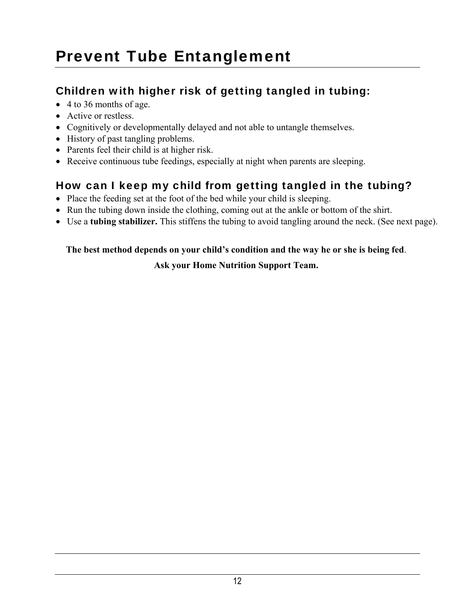# Prevent Tube Entanglement

### Children with higher risk of getting tangled in tubing:

- $\bullet$  4 to 36 months of age.
- Active or restless.
- Cognitively or developmentally delayed and not able to untangle themselves.
- History of past tangling problems.
- Parents feel their child is at higher risk.
- Receive continuous tube feedings, especially at night when parents are sleeping.

### How can I keep my child from getting tangled in the tubing?

- Place the feeding set at the foot of the bed while your child is sleeping.
- Run the tubing down inside the clothing, coming out at the ankle or bottom of the shirt.
- Use a **tubing stabilizer.** This stiffens the tubing to avoid tangling around the neck. (See next page).

#### **The best method depends on your child's condition and the way he or she is being fed**.

#### **Ask your Home Nutrition Support Team.**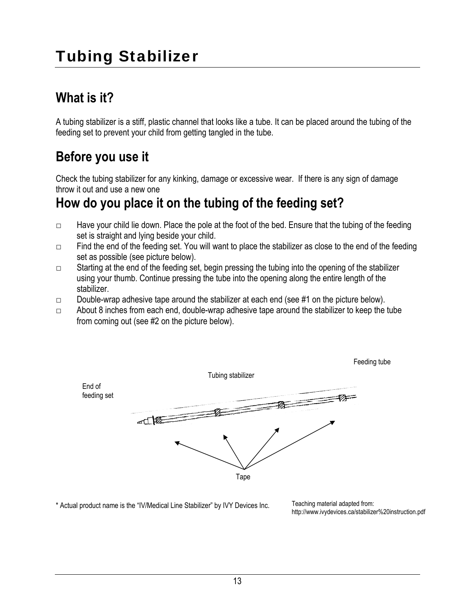# Tubing Stabilizer

# **What is it?**

A tubing stabilizer is a stiff, plastic channel that looks like a tube. It can be placed around the tubing of the feeding set to prevent your child from getting tangled in the tube.

## **Before you use it**

Check the tubing stabilizer for any kinking, damage or excessive wear. If there is any sign of damage throw it out and use a new one

### **How do you place it on the tubing of the feeding set?**

- $\Box$  Have your child lie down. Place the pole at the foot of the bed. Ensure that the tubing of the feeding set is straight and lying beside your child.
- $\Box$  Find the end of the feeding set. You will want to place the stabilizer as close to the end of the feeding set as possible (see picture below).
- □ Starting at the end of the feeding set, begin pressing the tubing into the opening of the stabilizer using your thumb. Continue pressing the tube into the opening along the entire length of the stabilizer.
- $\Box$  Double-wrap adhesive tape around the stabilizer at each end (see #1 on the picture below).
- $\Box$  About 8 inches from each end, double-wrap adhesive tape around the stabilizer to keep the tube from coming out (see #2 on the picture below).



\* Actual product name is the "IV/Medical Line Stabilizer" by IVY Devices Inc.

Teaching material adapted from: http://www.ivydevices.ca/stabilizer%20instruction.pdf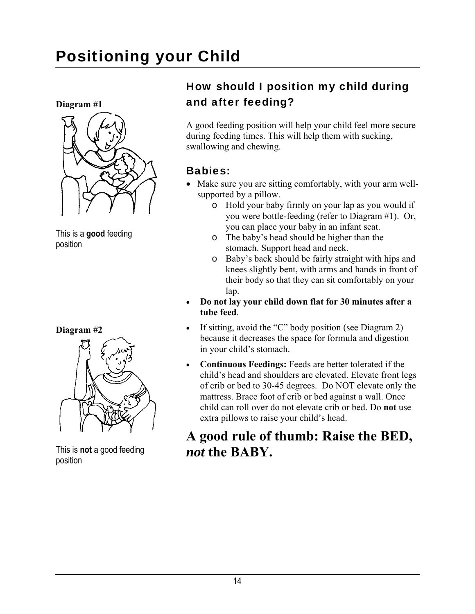# Positioning your Child

**Diagram #1** 



This is a **good** feeding position





This is **not** a good feeding position

### How should I position my child during and after feeding?

A good feeding position will help your child feel more secure during feeding times. This will help them with sucking, swallowing and chewing.

### Babies:

- Make sure you are sitting comfortably, with your arm wellsupported by a pillow.
	- o Hold your baby firmly on your lap as you would if you were bottle-feeding (refer to Diagram #1). Or, you can place your baby in an infant seat.
	- o The baby's head should be higher than the stomach. Support head and neck.
	- o Baby's back should be fairly straight with hips and knees slightly bent, with arms and hands in front of their body so that they can sit comfortably on your lap.
- **Do not lay your child down flat for 30 minutes after a tube feed**.
- If sitting, avoid the "C" body position (see Diagram 2) because it decreases the space for formula and digestion in your child's stomach.
- **Continuous Feedings:** Feeds are better tolerated if the child's head and shoulders are elevated. Elevate front legs of crib or bed to 30-45 degrees. Do NOT elevate only the mattress. Brace foot of crib or bed against a wall. Once child can roll over do not elevate crib or bed. Do **not** use extra pillows to raise your child's head.

## **A good rule of thumb: Raise the BED,**  *not* **the BABY.**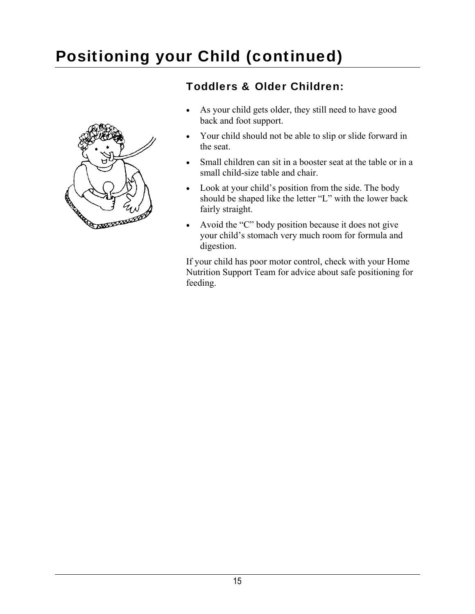# Positioning your Child (continued)



### Toddlers & Older Children:

- As your child gets older, they still need to have good back and foot support.
- Your child should not be able to slip or slide forward in the seat.
- Small children can sit in a booster seat at the table or in a small child-size table and chair.
- Look at your child's position from the side. The body should be shaped like the letter "L" with the lower back fairly straight.
- Avoid the "C" body position because it does not give your child's stomach very much room for formula and digestion.

If your child has poor motor control, check with your Home Nutrition Support Team for advice about safe positioning for feeding.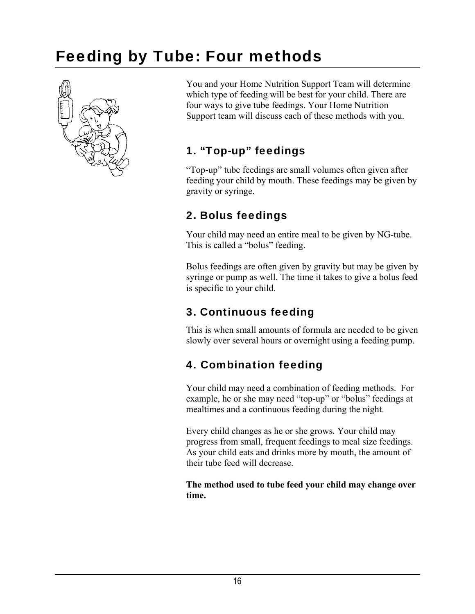# Feeding by Tube: Four methods



You and your Home Nutrition Support Team will determine which type of feeding will be best for your child. There are four ways to give tube feedings. Your Home Nutrition Support team will discuss each of these methods with you.

### 1. "Top-up" feedings

"Top-up" tube feedings are small volumes often given after feeding your child by mouth. These feedings may be given by gravity or syringe.

### 2. Bolus feedings

Your child may need an entire meal to be given by NG-tube. This is called a "bolus" feeding.

Bolus feedings are often given by gravity but may be given by syringe or pump as well. The time it takes to give a bolus feed is specific to your child.

### 3. Continuous feeding

This is when small amounts of formula are needed to be given slowly over several hours or overnight using a feeding pump.

### 4. Combination feeding

Your child may need a combination of feeding methods. For example, he or she may need "top-up" or "bolus" feedings at mealtimes and a continuous feeding during the night.

Every child changes as he or she grows. Your child may progress from small, frequent feedings to meal size feedings. As your child eats and drinks more by mouth, the amount of their tube feed will decrease.

**The method used to tube feed your child may change over time.**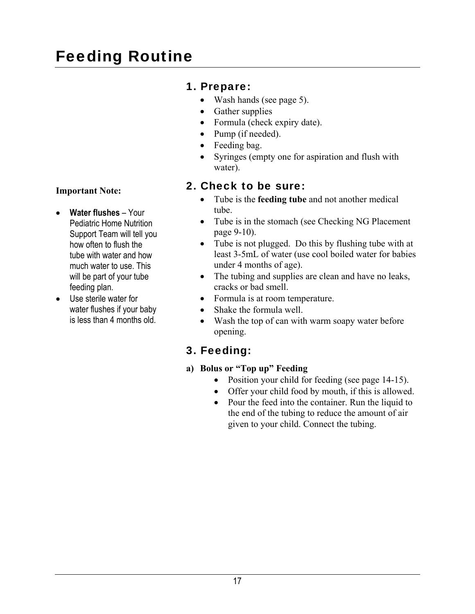# Feeding Routine

### 1. Prepare:

- Wash hands (see page 5).
- Gather supplies
- Formula (check expiry date).
- Pump (if needed).
- Feeding bag.
- Syringes (empty one for aspiration and flush with water).

### 2. Check to be sure:

- Tube is the **feeding tube** and not another medical tube.
- Tube is in the stomach (see Checking NG Placement page 9-10).
- Tube is not plugged. Do this by flushing tube with at least 3-5mL of water (use cool boiled water for babies under 4 months of age).
- The tubing and supplies are clean and have no leaks, cracks or bad smell.
- Formula is at room temperature.
- Shake the formula well.
- Wash the top of can with warm soapy water before opening.

### 3. Feeding:

- **a) Bolus or "Top up" Feeding** 
	- Position your child for feeding (see page 14-15).
	- Offer your child food by mouth, if this is allowed.
	- Pour the feed into the container. Run the liquid to the end of the tubing to reduce the amount of air given to your child. Connect the tubing.

#### **Important Note:**

- **Water flushes** Your Pediatric Home Nutrition Support Team will tell you how often to flush the tube with water and how much water to use. This will be part of your tube feeding plan.
- Use sterile water for water flushes if your baby is less than 4 months old.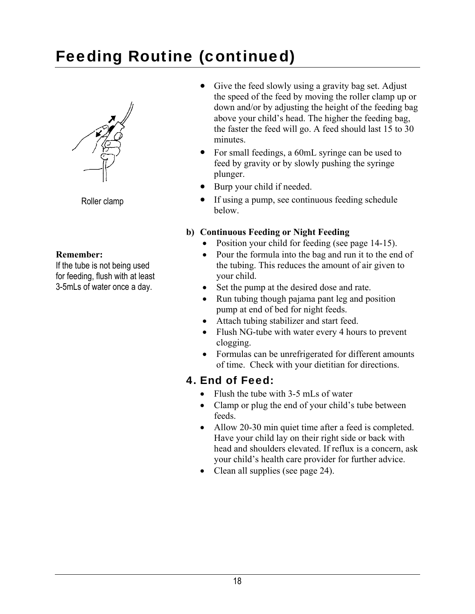# Feeding Routine (continued)



Roller clamp

#### **Remember:**

If the tube is not being used for feeding, flush with at least 3-5mLs of water once a day.

- Give the feed slowly using a gravity bag set. Adjust the speed of the feed by moving the roller clamp up or down and/or by adjusting the height of the feeding bag above your child's head. The higher the feeding bag, the faster the feed will go. A feed should last 15 to 30 minutes.
- For small feedings, a 60mL syringe can be used to feed by gravity or by slowly pushing the syringe plunger.
- Burp your child if needed.
- If using a pump, see continuous feeding schedule below.

#### **b) Continuous Feeding or Night Feeding**

- Position your child for feeding (see page 14-15).
- Pour the formula into the bag and run it to the end of the tubing. This reduces the amount of air given to your child.
- Set the pump at the desired dose and rate.
- Run tubing though pajama pant leg and position pump at end of bed for night feeds.
- Attach tubing stabilizer and start feed.
- Flush NG-tube with water every 4 hours to prevent clogging.
- Formulas can be unrefrigerated for different amounts of time. Check with your dietitian for directions.

### 4. End of Feed:

- Flush the tube with 3-5 mLs of water
- Clamp or plug the end of your child's tube between feeds.
- Allow 20-30 min quiet time after a feed is completed. Have your child lay on their right side or back with head and shoulders elevated. If reflux is a concern, ask your child's health care provider for further advice.
- Clean all supplies (see page 24).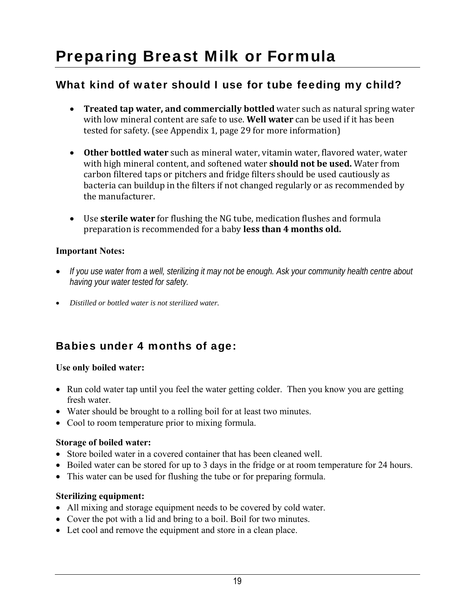# Preparing Breast Milk or Formula

### What kind of water should I use for tube feeding my child?

- **Treated tap water, and commercially bottled** water such as natural spring water with low mineral content are safe to use. **Well water** can be used if it has been tested for safety. (see Appendix 1, page 29 for more information)
- **Other bottled water** such as mineral water, vitamin water, flavored water, water with high mineral content, and softened water **should not be used.** Water from carbon filtered taps or pitchers and fridge filters should be used cautiously as bacteria can buildup in the filters if not changed regularly or as recommended by the manufacturer.
- Use **sterile water** for flushing the NG tube, medication flushes and formula preparation is recommended for a baby **less than 4 months old.**

#### **Important Notes:**

- *If you use water from a well, sterilizing it may not be enough. Ask your community health centre about having your water tested for safety.*
- *Distilled or bottled water is not sterilized water.*

### Babies under 4 months of age:

#### **Use only boiled water:**

- Run cold water tap until you feel the water getting colder. Then you know you are getting fresh water.
- Water should be brought to a rolling boil for at least two minutes.
- Cool to room temperature prior to mixing formula.

#### **Storage of boiled water:**

- Store boiled water in a covered container that has been cleaned well.
- Boiled water can be stored for up to 3 days in the fridge or at room temperature for 24 hours.
- This water can be used for flushing the tube or for preparing formula.

#### **Sterilizing equipment:**

- All mixing and storage equipment needs to be covered by cold water.
- Cover the pot with a lid and bring to a boil. Boil for two minutes.
- Let cool and remove the equipment and store in a clean place.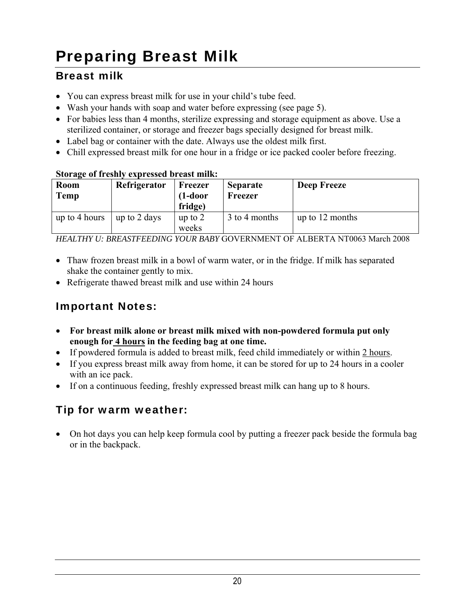# Preparing Breast Milk

### Breast milk

- You can express breast milk for use in your child's tube feed.
- Wash your hands with soap and water before expressing (see page 5).
- For babies less than 4 months, sterilize expressing and storage equipment as above. Use a sterilized container, or storage and freezer bags specially designed for breast milk.
- Label bag or container with the date. Always use the oldest milk first.
- Chill expressed breast milk for one hour in a fridge or ice packed cooler before freezing.

#### **Storage of freshly expressed breast milk:**

| <b>Room</b><br>Temp | Refrigerator | Freezer<br>$(1-door)$<br>fridge) | <b>Separate</b><br>Freezer | <b>Deep Freeze</b> |
|---------------------|--------------|----------------------------------|----------------------------|--------------------|
| up to 4 hours       | up to 2 days | up to $2$<br>weeks               | 3 to 4 months              | up to 12 months    |

*HEALTHY U: BREASTFEEDING YOUR BABY* GOVERNMENT OF ALBERTA NT0063 March 2008

- Thaw frozen breast milk in a bowl of warm water, or in the fridge. If milk has separated shake the container gently to mix.
- Refrigerate thawed breast milk and use within 24 hours

### Important Notes:

- **For breast milk alone or breast milk mixed with non-powdered formula put only enough for 4 hours in the feeding bag at one time.**
- If powdered formula is added to breast milk, feed child immediately or within 2 hours.
- If you express breast milk away from home, it can be stored for up to 24 hours in a cooler with an ice pack.
- If on a continuous feeding, freshly expressed breast milk can hang up to 8 hours.

### Tip for warm weather:

• On hot days you can help keep formula cool by putting a freezer pack beside the formula bag or in the backpack.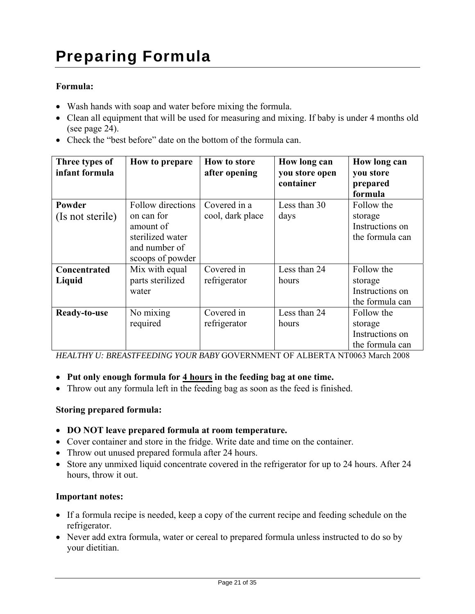#### **Formula:**

- Wash hands with soap and water before mixing the formula.
- Clean all equipment that will be used for measuring and mixing. If baby is under 4 months old (see page 24).
- Check the "best before" date on the bottom of the formula can.

| Three types of<br>infant formula | How to prepare                                                                                        | <b>How to store</b><br>after opening | How long can<br>you store open<br>container | How long can<br>you store<br>prepared<br>formula            |
|----------------------------------|-------------------------------------------------------------------------------------------------------|--------------------------------------|---------------------------------------------|-------------------------------------------------------------|
| Powder<br>(Is not sterile)       | Follow directions<br>on can for<br>amount of<br>sterilized water<br>and number of<br>scoops of powder | Covered in a<br>cool, dark place     | Less than 30<br>days                        | Follow the<br>storage<br>Instructions on<br>the formula can |
| Concentrated<br>Liquid           | Mix with equal<br>parts sterilized<br>water                                                           | Covered in<br>refrigerator           | Less than 24<br>hours                       | Follow the<br>storage<br>Instructions on<br>the formula can |
| Ready-to-use                     | No mixing<br>required                                                                                 | Covered in<br>refrigerator           | Less than 24<br>hours                       | Follow the<br>storage<br>Instructions on<br>the formula can |

*HEALTHY U: BREASTFEEDING YOUR BABY* GOVERNMENT OF ALBERTA NT0063 March 2008

- Put only enough formula for 4 hours in the feeding bag at one time.
- Throw out any formula left in the feeding bag as soon as the feed is finished.

#### **Storing prepared formula:**

- **DO NOT leave prepared formula at room temperature.**
- Cover container and store in the fridge. Write date and time on the container.
- Throw out unused prepared formula after 24 hours.
- Store any unmixed liquid concentrate covered in the refrigerator for up to 24 hours. After 24 hours, throw it out.

#### **Important notes:**

- If a formula recipe is needed, keep a copy of the current recipe and feeding schedule on the refrigerator.
- Never add extra formula, water or cereal to prepared formula unless instructed to do so by your dietitian.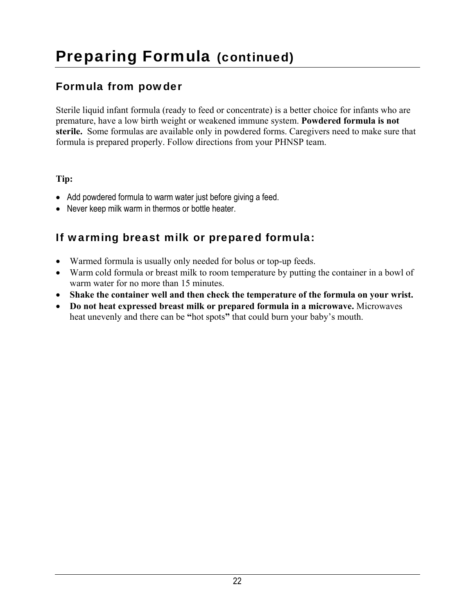# Preparing Formula (continued)

### Formula from powder

Sterile liquid infant formula (ready to feed or concentrate) is a better choice for infants who are premature, have a low birth weight or weakened immune system. **Powdered formula is not sterile.** Some formulas are available only in powdered forms. Caregivers need to make sure that formula is prepared properly. Follow directions from your PHNSP team.

#### **Tip:**

- Add powdered formula to warm water just before giving a feed.
- Never keep milk warm in thermos or bottle heater.

### If warming breast milk or prepared formula:

- Warmed formula is usually only needed for bolus or top-up feeds.
- Warm cold formula or breast milk to room temperature by putting the container in a bowl of warm water for no more than 15 minutes.
- **Shake the container well and then check the temperature of the formula on your wrist.**
- **Do not heat expressed breast milk or prepared formula in a microwave.** Microwaves heat unevenly and there can be **"**hot spots**"** that could burn your baby's mouth.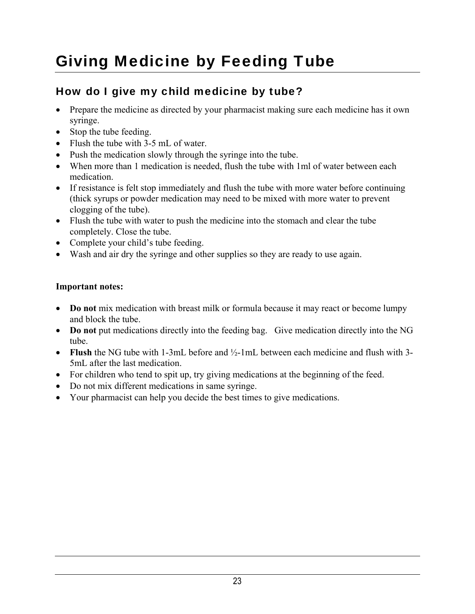# Giving Medicine by Feeding Tube

### How do I give my child medicine by tube?

- Prepare the medicine as directed by your pharmacist making sure each medicine has it own syringe.
- Stop the tube feeding.
- Flush the tube with 3-5 mL of water.
- Push the medication slowly through the syringe into the tube.
- When more than 1 medication is needed, flush the tube with 1ml of water between each medication.
- If resistance is felt stop immediately and flush the tube with more water before continuing (thick syrups or powder medication may need to be mixed with more water to prevent clogging of the tube).
- Flush the tube with water to push the medicine into the stomach and clear the tube completely. Close the tube.
- Complete your child's tube feeding.
- Wash and air dry the syringe and other supplies so they are ready to use again.

#### **Important notes:**

- **Do not** mix medication with breast milk or formula because it may react or become lumpy and block the tube.
- Do not put medications directly into the feeding bag. Give medication directly into the NG tube.
- **Flush** the NG tube with 1-3mL before and ½-1mL between each medicine and flush with 3- 5mL after the last medication.
- For children who tend to spit up, try giving medications at the beginning of the feed.
- Do not mix different medications in same syringe.
- Your pharmacist can help you decide the best times to give medications.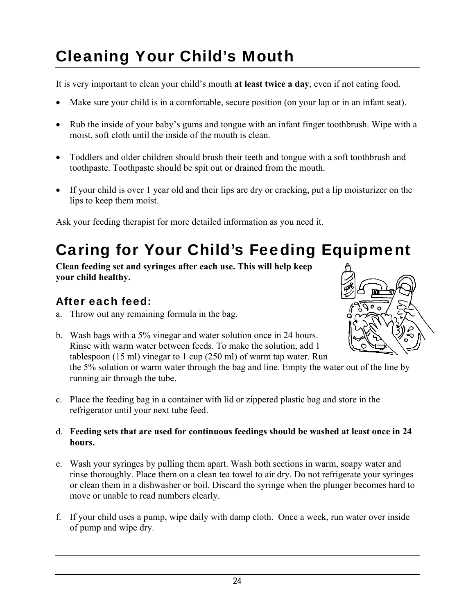# Cleaning Your Child's Mouth

It is very important to clean your child's mouth **at least twice a day**, even if not eating food.

- Make sure your child is in a comfortable, secure position (on your lap or in an infant seat).
- Rub the inside of your baby's gums and tongue with an infant finger toothbrush. Wipe with a moist, soft cloth until the inside of the mouth is clean.
- Toddlers and older children should brush their teeth and tongue with a soft toothbrush and toothpaste. Toothpaste should be spit out or drained from the mouth.
- If your child is over 1 year old and their lips are dry or cracking, put a lip moisturizer on the lips to keep them moist.

Ask your feeding therapist for more detailed information as you need it.

# Caring for Your Child's Feeding Equipment

**Clean feeding set and syringes after each use. This will help keep your child healthy.**

### After each feed:

a. Throw out any remaining formula in the bag.



- b. Wash bags with a 5% vinegar and water solution once in 24 hours. Rinse with warm water between feeds. To make the solution, add 1 tablespoon (15 ml) vinegar to 1 cup (250 ml) of warm tap water. Run the 5% solution or warm water through the bag and line. Empty the water out of the line by running air through the tube.
- c. Place the feeding bag in a container with lid or zippered plastic bag and store in the refrigerator until your next tube feed.
- d. **Feeding sets that are used for continuous feedings should be washed at least once in 24 hours.**
- e. Wash your syringes by pulling them apart. Wash both sections in warm, soapy water and rinse thoroughly. Place them on a clean tea towel to air dry. Do not refrigerate your syringes or clean them in a dishwasher or boil. Discard the syringe when the plunger becomes hard to move or unable to read numbers clearly.
- f. If your child uses a pump, wipe daily with damp cloth. Once a week, run water over inside of pump and wipe dry.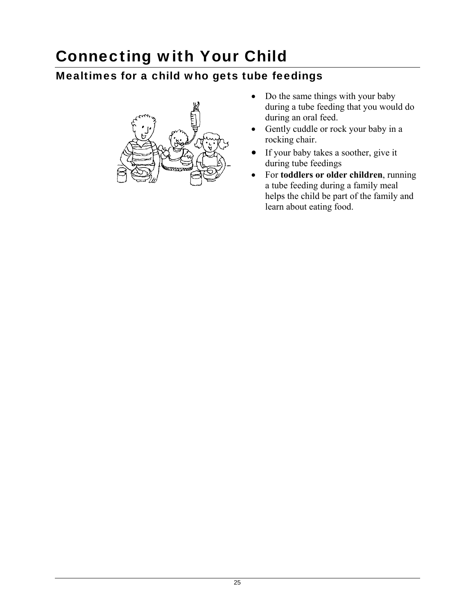# Connecting with Your Child

### Mealtimes for a child who gets tube feedings



- Do the same things with your baby during a tube feeding that you would do during an oral feed.
- Gently cuddle or rock your baby in a rocking chair.
- If your baby takes a soother, give it during tube feedings
- For **toddlers or older children**, running a tube feeding during a family meal helps the child be part of the family and learn about eating food.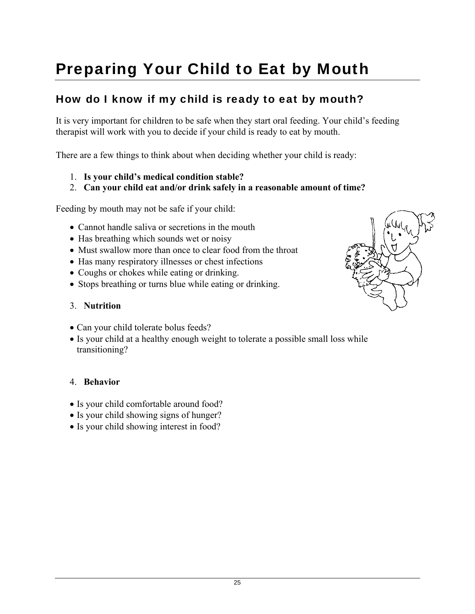# Preparing Your Child to Eat by Mouth

### How do I know if my child is ready to eat by mouth?

It is very important for children to be safe when they start oral feeding. Your child's feeding therapist will work with you to decide if your child is ready to eat by mouth.

There are a few things to think about when deciding whether your child is ready:

- 1. **Is your child's medical condition stable?**
- 2. **Can your child eat and/or drink safely in a reasonable amount of time?**

Feeding by mouth may not be safe if your child:

- Cannot handle saliva or secretions in the mouth
- Has breathing which sounds wet or noisy
- Must swallow more than once to clear food from the throat
- Has many respiratory illnesses or chest infections
- Coughs or chokes while eating or drinking.
- Stops breathing or turns blue while eating or drinking.

#### 3. **Nutrition**

- Can your child tolerate bolus feeds?
- Is your child at a healthy enough weight to tolerate a possible small loss while transitioning?

#### 4. **Behavior**

- Is your child comfortable around food?
- Is your child showing signs of hunger?
- Is your child showing interest in food?

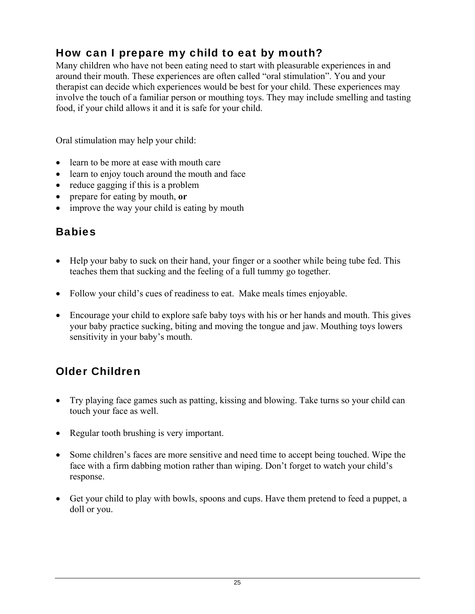### How can I prepare my child to eat by mouth?

Many children who have not been eating need to start with pleasurable experiences in and around their mouth. These experiences are often called "oral stimulation". You and your therapist can decide which experiences would be best for your child. These experiences may involve the touch of a familiar person or mouthing toys. They may include smelling and tasting food, if your child allows it and it is safe for your child.

Oral stimulation may help your child:

- learn to be more at ease with mouth care
- learn to enjoy touch around the mouth and face
- reduce gagging if this is a problem
- prepare for eating by mouth, **or**
- improve the way your child is eating by mouth

### **Babies**

- Help your baby to suck on their hand, your finger or a soother while being tube fed. This teaches them that sucking and the feeling of a full tummy go together.
- Follow your child's cues of readiness to eat. Make meals times enjoyable.
- Encourage your child to explore safe baby toys with his or her hands and mouth. This gives your baby practice sucking, biting and moving the tongue and jaw. Mouthing toys lowers sensitivity in your baby's mouth.

### Older Children

- Try playing face games such as patting, kissing and blowing. Take turns so your child can touch your face as well.
- Regular tooth brushing is very important.
- Some children's faces are more sensitive and need time to accept being touched. Wipe the face with a firm dabbing motion rather than wiping. Don't forget to watch your child's response.
- Get your child to play with bowls, spoons and cups. Have them pretend to feed a puppet, a doll or you.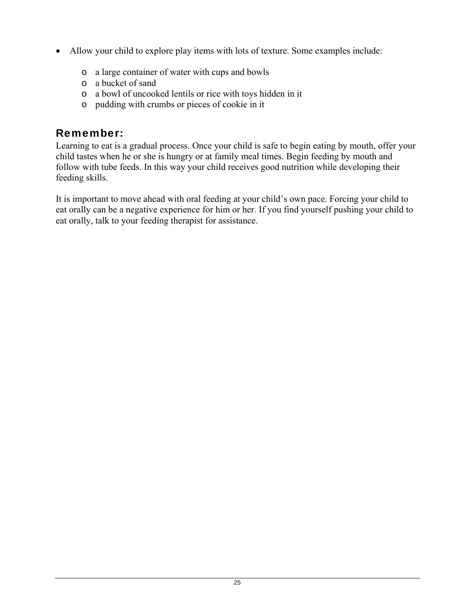- Allow your child to explore play items with lots of texture. Some examples include:
	- o a large container of water with cups and bowls
	- o a bucket of sand
	- o a bowl of uncooked lentils or rice with toys hidden in it
	- o pudding with crumbs or pieces of cookie in it

### Remember:

Learning to eat is a gradual process. Once your child is safe to begin eating by mouth, offer your child tastes when he or she is hungry or at family meal times. Begin feeding by mouth and follow with tube feeds. In this way your child receives good nutrition while developing their feeding skills.

It is important to move ahead with oral feeding at your child's own pace. Forcing your child to eat orally can be a negative experience for him or her. If you find yourself pushing your child to eat orally, talk to your feeding therapist for assistance.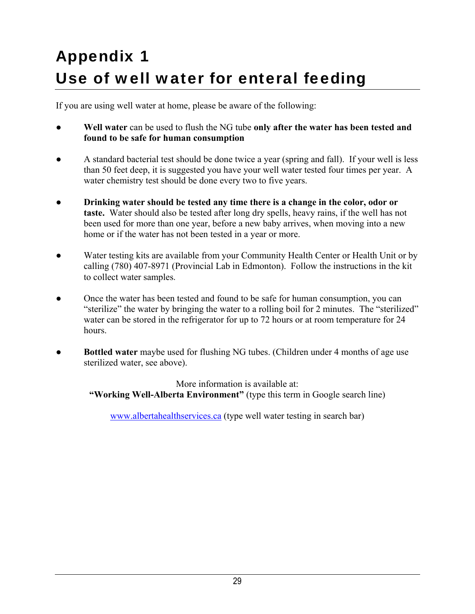# Appendix 1 Use of well water for enteral feeding

If you are using well water at home, please be aware of the following:

- Well water can be used to flush the NG tube only after the water has been tested and **found to be safe for human consumption**
- **●** A standard bacterial test should be done twice a year (spring and fall). If your well is less than 50 feet deep, it is suggested you have your well water tested four times per year. A water chemistry test should be done every two to five years.
- **Drinking water should be tested any time there is a change in the color, odor or taste.** Water should also be tested after long dry spells, heavy rains, if the well has not been used for more than one year, before a new baby arrives, when moving into a new home or if the water has not been tested in a year or more.
- Water testing kits are available from your Community Health Center or Health Unit or by calling (780) 407-8971 (Provincial Lab in Edmonton). Follow the instructions in the kit to collect water samples.
- Once the water has been tested and found to be safe for human consumption, you can "sterilize" the water by bringing the water to a rolling boil for 2 minutes. The "sterilized" water can be stored in the refrigerator for up to 72 hours or at room temperature for 24 hours.
- **Bottled water** maybe used for flushing NG tubes. (Children under 4 months of age use sterilized water, see above).

More information is available at: **"Working Well-Alberta Environment"** (type this term in Google search line)

www.albertahealthservices.ca (type well water testing in search bar)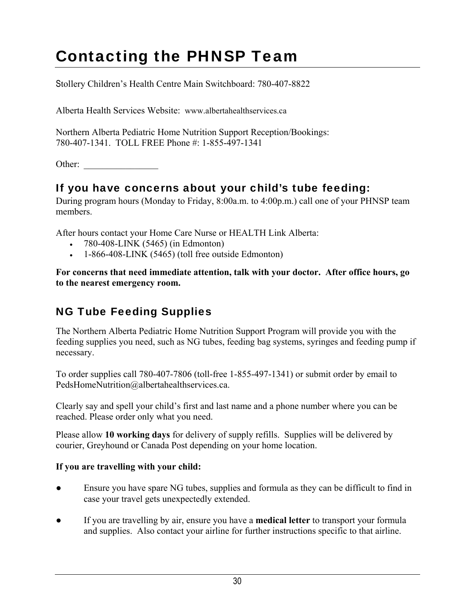# Contacting the PHNSP Team

Stollery Children's Health Centre Main Switchboard: 780-407-8822

Alberta Health Services Website: www.albertahealthservices.ca

Northern Alberta Pediatric Home Nutrition Support Reception/Bookings: 780-407-1341. TOLL FREE Phone #: 1-855-497-1341

Other:

### If you have concerns about your child's tube feeding:

During program hours (Monday to Friday, 8:00a.m. to 4:00p.m.) call one of your PHNSP team members.

After hours contact your Home Care Nurse or HEALTH Link Alberta:

- $-780-408-LINK (5465)$  (in Edmonton)
- $-1-866-408-LINK (5465)$  (toll free outside Edmonton)

**For concerns that need immediate attention, talk with your doctor. After office hours, go to the nearest emergency room.** 

### NG Tube Feeding Supplies

The Northern Alberta Pediatric Home Nutrition Support Program will provide you with the feeding supplies you need, such as NG tubes, feeding bag systems, syringes and feeding pump if necessary.

To order supplies call 780-407-7806 (toll-free 1-855-497-1341) or submit order by email to PedsHomeNutrition@albertahealthservices.ca.

Clearly say and spell your child's first and last name and a phone number where you can be reached. Please order only what you need.

Please allow **10 working days** for delivery of supply refills. Supplies will be delivered by courier, Greyhound or Canada Post depending on your home location.

#### **If you are travelling with your child:**

- Ensure you have spare NG tubes, supplies and formula as they can be difficult to find in case your travel gets unexpectedly extended.
- If you are travelling by air, ensure you have a **medical letter** to transport your formula and supplies. Also contact your airline for further instructions specific to that airline.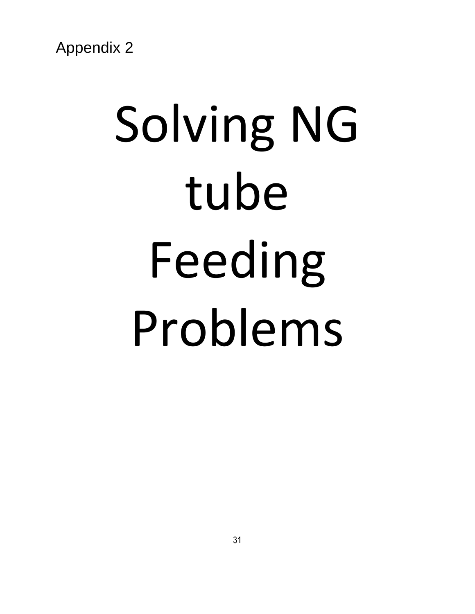# Solving NG tube Feeding Problems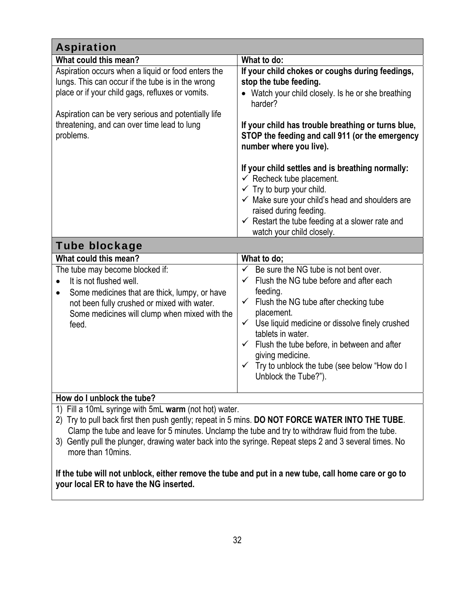| <b>Aspiration</b>                                                                                                                                                                                                                                                                                                                                                                                                                                                                                                                           |                                                                                                                                                                                                                                                                                                                                                                                                                                                                                                                                                                                                       |
|---------------------------------------------------------------------------------------------------------------------------------------------------------------------------------------------------------------------------------------------------------------------------------------------------------------------------------------------------------------------------------------------------------------------------------------------------------------------------------------------------------------------------------------------|-------------------------------------------------------------------------------------------------------------------------------------------------------------------------------------------------------------------------------------------------------------------------------------------------------------------------------------------------------------------------------------------------------------------------------------------------------------------------------------------------------------------------------------------------------------------------------------------------------|
| What could this mean?                                                                                                                                                                                                                                                                                                                                                                                                                                                                                                                       | What to do:                                                                                                                                                                                                                                                                                                                                                                                                                                                                                                                                                                                           |
| Aspiration occurs when a liquid or food enters the<br>lungs. This can occur if the tube is in the wrong<br>place or if your child gags, refluxes or vomits.<br>Aspiration can be very serious and potentially life<br>threatening, and can over time lead to lung<br>problems.                                                                                                                                                                                                                                                              | If your child chokes or coughs during feedings,<br>stop the tube feeding.<br>• Watch your child closely. Is he or she breathing<br>harder?<br>If your child has trouble breathing or turns blue,<br>STOP the feeding and call 911 (or the emergency<br>number where you live).<br>If your child settles and is breathing normally:<br>$\checkmark$ Recheck tube placement.<br>$\checkmark$ Try to burp your child.<br>$\checkmark$ Make sure your child's head and shoulders are<br>raised during feeding.<br>$\checkmark$ Restart the tube feeding at a slower rate and<br>watch your child closely. |
| <b>Tube blockage</b>                                                                                                                                                                                                                                                                                                                                                                                                                                                                                                                        |                                                                                                                                                                                                                                                                                                                                                                                                                                                                                                                                                                                                       |
| What could this mean?                                                                                                                                                                                                                                                                                                                                                                                                                                                                                                                       | What to do;                                                                                                                                                                                                                                                                                                                                                                                                                                                                                                                                                                                           |
| The tube may become blocked if:<br>It is not flushed well.<br>$\bullet$<br>Some medicines that are thick, lumpy, or have<br>$\bullet$<br>not been fully crushed or mixed with water.<br>Some medicines will clump when mixed with the<br>feed.                                                                                                                                                                                                                                                                                              | Be sure the NG tube is not bent over.<br>$\checkmark$<br>$\checkmark$ Flush the NG tube before and after each<br>feeding.<br>$\checkmark$ Flush the NG tube after checking tube<br>placement.<br>Use liquid medicine or dissolve finely crushed<br>$\checkmark$<br>tablets in water.<br>$\checkmark$ Flush the tube before, in between and after<br>giving medicine.<br>✓ Try to unblock the tube (see below "How do I<br>Unblock the Tube?").                                                                                                                                                        |
| How do I unblock the tube?                                                                                                                                                                                                                                                                                                                                                                                                                                                                                                                  |                                                                                                                                                                                                                                                                                                                                                                                                                                                                                                                                                                                                       |
| 1) Fill a 10mL syringe with 5mL warm (not hot) water.<br>Try to pull back first then push gently; repeat in 5 mins. DO NOT FORCE WATER INTO THE TUBE.<br>Clamp the tube and leave for 5 minutes. Unclamp the tube and try to withdraw fluid from the tube.<br>3) Gently pull the plunger, drawing water back into the syringe. Repeat steps 2 and 3 several times. No<br>more than 10mins.<br>If the tube will not unblock, either remove the tube and put in a new tube, call home care or go to<br>your local ER to have the NG inserted. |                                                                                                                                                                                                                                                                                                                                                                                                                                                                                                                                                                                                       |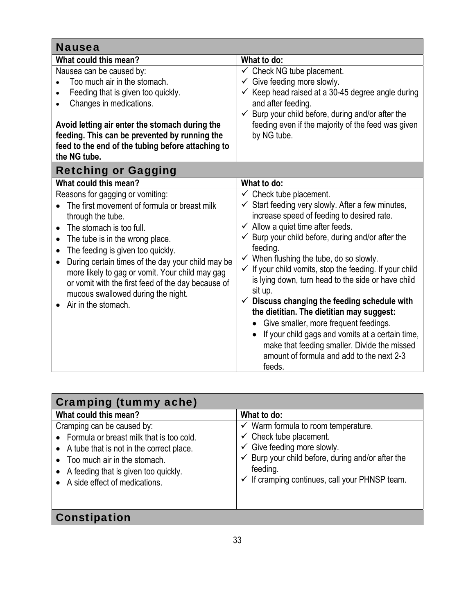| <b>Nausea</b>                                                                                                                                                                                                                                                                                                                                                                                                                                                               |                                                                                                                                                                                                                                                                                                                                                                                                                                                                                                                                                                                                                                                                                                                                                                                         |
|-----------------------------------------------------------------------------------------------------------------------------------------------------------------------------------------------------------------------------------------------------------------------------------------------------------------------------------------------------------------------------------------------------------------------------------------------------------------------------|-----------------------------------------------------------------------------------------------------------------------------------------------------------------------------------------------------------------------------------------------------------------------------------------------------------------------------------------------------------------------------------------------------------------------------------------------------------------------------------------------------------------------------------------------------------------------------------------------------------------------------------------------------------------------------------------------------------------------------------------------------------------------------------------|
| What could this mean?                                                                                                                                                                                                                                                                                                                                                                                                                                                       | What to do:                                                                                                                                                                                                                                                                                                                                                                                                                                                                                                                                                                                                                                                                                                                                                                             |
| Nausea can be caused by:<br>Too much air in the stomach.<br>Feeding that is given too quickly.<br>Changes in medications.<br>Avoid letting air enter the stomach during the<br>feeding. This can be prevented by running the<br>feed to the end of the tubing before attaching to<br>the NG tube.                                                                                                                                                                           | $\checkmark$ Check NG tube placement.<br>$\checkmark$ Give feeding more slowly.<br>$\checkmark$ Keep head raised at a 30-45 degree angle during<br>and after feeding.<br>$\checkmark$ Burp your child before, during and/or after the<br>feeding even if the majority of the feed was given<br>by NG tube.                                                                                                                                                                                                                                                                                                                                                                                                                                                                              |
| <b>Retching or Gagging</b>                                                                                                                                                                                                                                                                                                                                                                                                                                                  |                                                                                                                                                                                                                                                                                                                                                                                                                                                                                                                                                                                                                                                                                                                                                                                         |
| What could this mean?                                                                                                                                                                                                                                                                                                                                                                                                                                                       | What to do:                                                                                                                                                                                                                                                                                                                                                                                                                                                                                                                                                                                                                                                                                                                                                                             |
| Reasons for gagging or vomiting:<br>The first movement of formula or breast milk<br>through the tube.<br>The stomach is too full.<br>$\bullet$<br>The tube is in the wrong place.<br>$\bullet$<br>The feeding is given too quickly.<br>$\bullet$<br>During certain times of the day your child may be<br>more likely to gag or vomit. Your child may gag<br>or vomit with the first feed of the day because of<br>mucous swallowed during the night.<br>Air in the stomach. | $\checkmark$ Check tube placement.<br>$\checkmark$ Start feeding very slowly. After a few minutes,<br>increase speed of feeding to desired rate.<br>$\checkmark$ Allow a quiet time after feeds.<br>$\checkmark$ Burp your child before, during and/or after the<br>feeding.<br>$\checkmark$ When flushing the tube, do so slowly.<br>√ If your child vomits, stop the feeding. If your child<br>is lying down, turn head to the side or have child<br>sit up.<br>$\checkmark$ Discuss changing the feeding schedule with<br>the dietitian. The dietitian may suggest:<br>Give smaller, more frequent feedings.<br>If your child gags and vomits at a certain time,<br>$\bullet$<br>make that feeding smaller. Divide the missed<br>amount of formula and add to the next 2-3<br>feeds. |

| Cramping (tummy ache)                                                                                                                                                                                                                          |                                                                                                                                                                                                                                                                         |  |
|------------------------------------------------------------------------------------------------------------------------------------------------------------------------------------------------------------------------------------------------|-------------------------------------------------------------------------------------------------------------------------------------------------------------------------------------------------------------------------------------------------------------------------|--|
| What could this mean?                                                                                                                                                                                                                          | What to do:                                                                                                                                                                                                                                                             |  |
| Cramping can be caused by:<br>• Formula or breast milk that is too cold.<br>• A tube that is not in the correct place.<br>Too much air in the stomach.<br>$\bullet$<br>A feeding that is given too quickly.<br>• A side effect of medications. | $\checkmark$ Warm formula to room temperature.<br>$\checkmark$ Check tube placement.<br>$\checkmark$ Give feeding more slowly.<br>$\checkmark$ Burp your child before, during and/or after the<br>feeding.<br>$\checkmark$ If cramping continues, call your PHNSP team. |  |
| Constipation                                                                                                                                                                                                                                   |                                                                                                                                                                                                                                                                         |  |